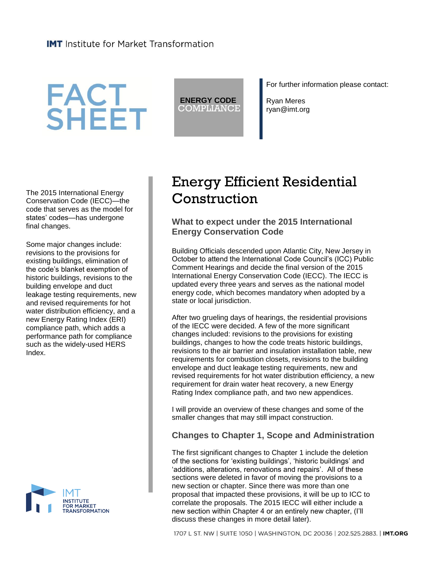# **FACT<br>SHEET**

**ENERGY CODE** COMPLIANCE For further information please contact:

Ryan Meres ryan@imt.org

The 2015 International Energy Conservation Code (IECC)—the code that serves as the model for states' codes—has undergone final changes.

Some major changes include: revisions to the provisions for existing buildings, elimination of the code's blanket exemption of historic buildings, revisions to the building envelope and duct leakage testing requirements, new and revised requirements for hot water distribution efficiency, and a new Energy Rating Index (ERI) compliance path, which adds a performance path for compliance such as the widely-used HERS Index.



# Energy Efficient Residential **Construction**

# **What to expect under the 2015 International Energy Conservation Code**

Building Officials descended upon Atlantic City, New Jersey in October to attend the International Code Council's (ICC) Public Comment Hearings and decide the final version of the 2015 International Energy Conservation Code (IECC). The IECC is updated every three years and serves as the national model energy code, which becomes mandatory when adopted by a state or local jurisdiction.

After two grueling days of hearings, the residential provisions of the IECC were decided. A few of the more significant changes included: revisions to the provisions for existing buildings, changes to how the code treats historic buildings, revisions to the air barrier and insulation installation table, new requirements for combustion closets, revisions to the building envelope and duct leakage testing requirements, new and revised requirements for hot water distribution efficiency, a new requirement for drain water heat recovery, a new Energy Rating Index compliance path, and two new appendices.

I will provide an overview of these changes and some of the smaller changes that may still impact construction.

# **Changes to Chapter 1, Scope and Administration**

The first significant changes to Chapter 1 include the deletion of the sections for 'existing buildings', 'historic buildings' and 'additions, alterations, renovations and repairs'. All of these sections were deleted in favor of moving the provisions to a new section or chapter. Since there was more than one proposal that impacted these provisions, it will be up to ICC to correlate the proposals. The 2015 IECC will either include a new section within Chapter 4 or an entirely new chapter, (I'll discuss these changes in more detail later).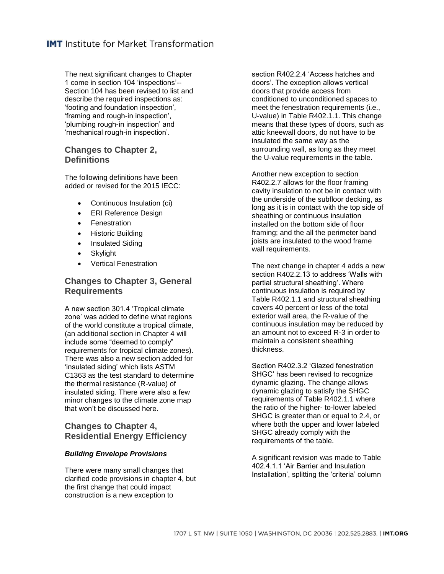The next significant changes to Chapter 1 come in section 104 'inspections'-- Section 104 has been revised to list and describe the required inspections as: 'footing and foundation inspection', 'framing and rough-in inspection', 'plumbing rough-in inspection' and 'mechanical rough-in inspection'.

# **Changes to Chapter 2, Definitions**

The following definitions have been added or revised for the 2015 IECC:

- Continuous Insulation (ci)
- ERI Reference Design
- **•** Fenestration
- Historic Building
- Insulated Siding
- Skylight
- Vertical Fenestration

# **Changes to Chapter 3, General Requirements**

A new section 301.4 'Tropical climate zone' was added to define what regions of the world constitute a tropical climate, (an additional section in Chapter 4 will include some "deemed to comply" requirements for tropical climate zones). There was also a new section added for 'insulated siding' which lists ASTM C1363 as the test standard to determine the thermal resistance (R-value) of insulated siding. There were also a few minor changes to the climate zone map that won't be discussed here.

# **Changes to Chapter 4, Residential Energy Efficiency**

#### *Building Envelope Provisions*

There were many small changes that clarified code provisions in chapter 4, but the first change that could impact construction is a new exception to

section R402.2.4 'Access hatches and doors'. The exception allows vertical doors that provide access from conditioned to unconditioned spaces to meet the fenestration requirements (i.e., U-value) in Table R402.1.1. This change means that these types of doors, such as attic kneewall doors, do not have to be insulated the same way as the surrounding wall, as long as they meet the U-value requirements in the table.

Another new exception to section R402.2.7 allows for the floor framing cavity insulation to not be in contact with the underside of the subfloor decking, as long as it is in contact with the top side of sheathing or continuous insulation installed on the bottom side of floor framing; and the all the perimeter band joists are insulated to the wood frame wall requirements.

The next change in chapter 4 adds a new section R402.2.13 to address 'Walls with partial structural sheathing'. Where continuous insulation is required by Table R402.1.1 and structural sheathing covers 40 percent or less of the total exterior wall area, the R-value of the continuous insulation may be reduced by an amount not to exceed R-3 in order to maintain a consistent sheathing thickness.

Section R402.3.2 'Glazed fenestration SHGC' has been revised to recognize dynamic glazing. The change allows dynamic glazing to satisfy the SHGC requirements of Table R402.1.1 where the ratio of the higher- to-lower labeled SHGC is greater than or equal to 2.4, or where both the upper and lower labeled SHGC already comply with the requirements of the table.

A significant revision was made to Table 402.4.1.1 'Air Barrier and Insulation Installation', splitting the 'criteria' column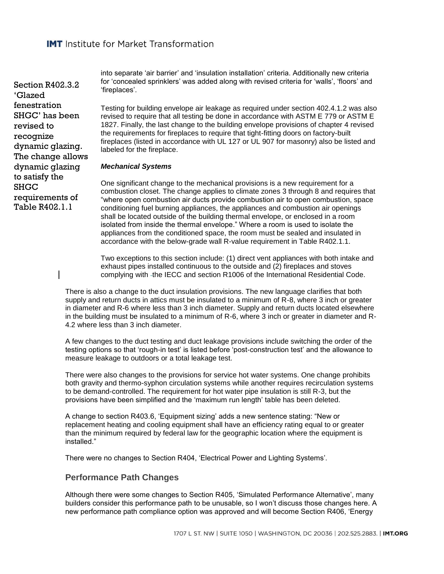Section R402.3.2 'Glazed fenestration SHGC' has been revised to recognize dynamic glazing. The change allows dynamic glazing to satisfy the **SHGC** requirements of Table R402.1.1

into separate 'air barrier' and 'insulation installation' criteria. Additionally new criteria for 'concealed sprinklers' was added along with revised criteria for 'walls', 'floors' and 'fireplaces'.

Testing for building envelope air leakage as required under section 402.4.1.2 was also revised to require that all testing be done in accordance with ASTM E 779 or ASTM E 1827. Finally, the last change to the building envelope provisions of chapter 4 revised the requirements for fireplaces to require that tight-fitting doors on factory-built fireplaces (listed in accordance with UL 127 or UL 907 for masonry) also be listed and labeled for the fireplace.

#### *Mechanical Systems*

One significant change to the mechanical provisions is a new requirement for a combustion closet. The change applies to climate zones 3 through 8 and requires that "where open combustion air ducts provide combustion air to open combustion, space conditioning fuel burning appliances, the appliances and combustion air openings shall be located outside of the building thermal envelope, or enclosed in a room isolated from inside the thermal envelope." Where a room is used to isolate the appliances from the conditioned space, the room must be sealed and insulated in accordance with the below-grade wall R-value requirement in Table R402.1.1.

Two exceptions to this section include: (1) direct vent appliances with both intake and exhaust pipes installed continuous to the outside and (2) fireplaces and stoves complying with -the IECC and section R1006 of the International Residential Code.

There is also a change to the duct insulation provisions. The new language clarifies that both supply and return ducts in attics must be insulated to a minimum of R-8, where 3 inch or greater in diameter and R-6 where less than 3 inch diameter. Supply and return ducts located elsewhere in the building must be insulated to a minimum of R-6, where 3 inch or greater in diameter and R-4.2 where less than 3 inch diameter.

A few changes to the duct testing and duct leakage provisions include switching the order of the testing options so that 'rough-in test' is listed before 'post-construction test' and the allowance to measure leakage to outdoors or a total leakage test.

There were also changes to the provisions for service hot water systems. One change prohibits both gravity and thermo-syphon circulation systems while another requires recirculation systems to be demand-controlled. The requirement for hot water pipe insulation is still R-3, but the provisions have been simplified and the 'maximum run length' table has been deleted.

A change to section R403.6, 'Equipment sizing' adds a new sentence stating: "New or replacement heating and cooling equipment shall have an efficiency rating equal to or greater than the minimum required by federal law for the geographic location where the equipment is installed."

There were no changes to Section R404, 'Electrical Power and Lighting Systems'.

#### **Performance Path Changes**

Although there were some changes to Section R405, 'Simulated Performance Alternative', many builders consider this performance path to be unusable, so I won't discuss those changes here. A new performance path compliance option was approved and will become Section R406, 'Energy